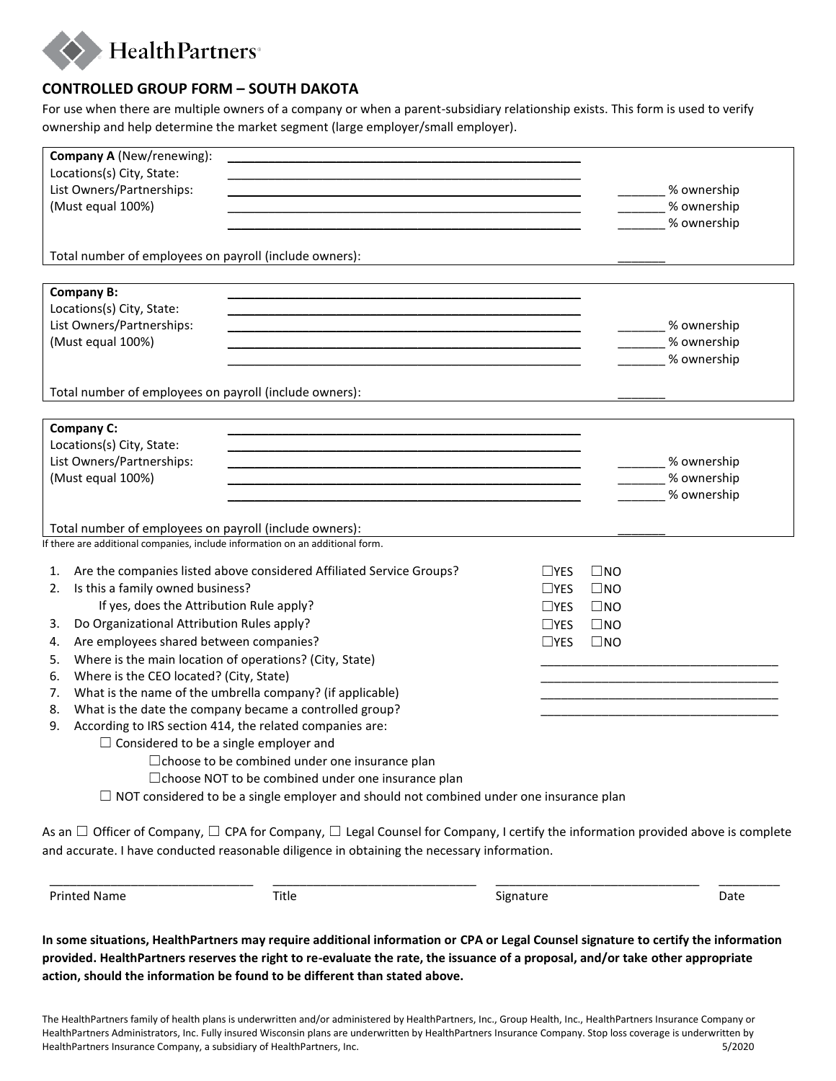

## **CONTROLLED GROUP FORM – SOUTH DAKOTA**

For use when there are multiple owners of a company or when a parent-subsidiary relationship exists. This form is used to verify ownership and help determine the market segment (large employer/small employer).

|                                                                                                                                                                                                                                                    | Company A (New/renewing):                                                                                                                                                                                                                                   |                                                                                                                                                 |               |                     |                                    |
|----------------------------------------------------------------------------------------------------------------------------------------------------------------------------------------------------------------------------------------------------|-------------------------------------------------------------------------------------------------------------------------------------------------------------------------------------------------------------------------------------------------------------|-------------------------------------------------------------------------------------------------------------------------------------------------|---------------|---------------------|------------------------------------|
|                                                                                                                                                                                                                                                    | Locations(s) City, State:                                                                                                                                                                                                                                   |                                                                                                                                                 |               |                     |                                    |
| List Owners/Partnerships:                                                                                                                                                                                                                          |                                                                                                                                                                                                                                                             |                                                                                                                                                 |               |                     | ________ % ownership               |
| (Must equal 100%)                                                                                                                                                                                                                                  |                                                                                                                                                                                                                                                             |                                                                                                                                                 |               |                     | _________% ownership               |
|                                                                                                                                                                                                                                                    |                                                                                                                                                                                                                                                             |                                                                                                                                                 |               |                     | % ownership                        |
|                                                                                                                                                                                                                                                    | Total number of employees on payroll (include owners):                                                                                                                                                                                                      |                                                                                                                                                 |               |                     |                                    |
|                                                                                                                                                                                                                                                    |                                                                                                                                                                                                                                                             |                                                                                                                                                 |               |                     |                                    |
| <b>Company B:</b>                                                                                                                                                                                                                                  |                                                                                                                                                                                                                                                             |                                                                                                                                                 |               |                     |                                    |
| Locations(s) City, State:                                                                                                                                                                                                                          |                                                                                                                                                                                                                                                             |                                                                                                                                                 |               |                     |                                    |
| List Owners/Partnerships:<br><u> 1989 - Andrea Santa Alemania, amerikana amerikana amerikana amerikana amerikana amerikana amerikana amerikana</u>                                                                                                 |                                                                                                                                                                                                                                                             |                                                                                                                                                 |               | ________% ownership |                                    |
|                                                                                                                                                                                                                                                    | (Must equal 100%)                                                                                                                                                                                                                                           |                                                                                                                                                 |               |                     | ________% ownership<br>% ownership |
|                                                                                                                                                                                                                                                    |                                                                                                                                                                                                                                                             |                                                                                                                                                 |               |                     |                                    |
|                                                                                                                                                                                                                                                    | Total number of employees on payroll (include owners):                                                                                                                                                                                                      |                                                                                                                                                 |               |                     |                                    |
|                                                                                                                                                                                                                                                    |                                                                                                                                                                                                                                                             |                                                                                                                                                 |               |                     |                                    |
|                                                                                                                                                                                                                                                    | Company C:                                                                                                                                                                                                                                                  |                                                                                                                                                 |               |                     |                                    |
|                                                                                                                                                                                                                                                    | Locations(s) City, State:                                                                                                                                                                                                                                   |                                                                                                                                                 |               |                     |                                    |
| List Owners/Partnerships:<br><u> 1989 - Johann Barn, amerikansk politiker (d. 1989)</u>                                                                                                                                                            |                                                                                                                                                                                                                                                             |                                                                                                                                                 |               | ________% ownership |                                    |
| (Must equal 100%)<br>the control of the control of the control of the control of the control of the control of the control of the control of the control of the control of the control of the control of the control of the control of the control |                                                                                                                                                                                                                                                             |                                                                                                                                                 |               | % ownership         |                                    |
|                                                                                                                                                                                                                                                    |                                                                                                                                                                                                                                                             |                                                                                                                                                 |               |                     | % ownership                        |
|                                                                                                                                                                                                                                                    | Total number of employees on payroll (include owners):                                                                                                                                                                                                      |                                                                                                                                                 |               |                     |                                    |
|                                                                                                                                                                                                                                                    |                                                                                                                                                                                                                                                             | If there are additional companies, include information on an additional form.                                                                   |               |                     |                                    |
| 1.                                                                                                                                                                                                                                                 |                                                                                                                                                                                                                                                             | Are the companies listed above considered Affiliated Service Groups?                                                                            | $\Box$ YES    | $\square$ NO        |                                    |
|                                                                                                                                                                                                                                                    | Is this a family owned business?                                                                                                                                                                                                                            |                                                                                                                                                 |               |                     |                                    |
| 2.                                                                                                                                                                                                                                                 | If yes, does the Attribution Rule apply?                                                                                                                                                                                                                    |                                                                                                                                                 | $\Box$ YES    | $\square$ NO        |                                    |
|                                                                                                                                                                                                                                                    |                                                                                                                                                                                                                                                             |                                                                                                                                                 | $\square$ YES | $\square$ NO        |                                    |
| 3.                                                                                                                                                                                                                                                 | Do Organizational Attribution Rules apply?                                                                                                                                                                                                                  |                                                                                                                                                 | $\Box$ YES    | $\square$ NO        |                                    |
| 4.                                                                                                                                                                                                                                                 | Are employees shared between companies?                                                                                                                                                                                                                     |                                                                                                                                                 | $\Box$ YES    | $\square$ NO        |                                    |
| 5.                                                                                                                                                                                                                                                 | Where is the main location of operations? (City, State)<br>Where is the CEO located? (City, State)                                                                                                                                                          |                                                                                                                                                 |               |                     |                                    |
| 6.                                                                                                                                                                                                                                                 |                                                                                                                                                                                                                                                             |                                                                                                                                                 |               |                     |                                    |
| 7.<br>8.                                                                                                                                                                                                                                           | What is the name of the umbrella company? (if applicable)                                                                                                                                                                                                   |                                                                                                                                                 |               |                     |                                    |
| 9.                                                                                                                                                                                                                                                 | What is the date the company became a controlled group?<br>According to IRS section 414, the related companies are:                                                                                                                                         |                                                                                                                                                 |               |                     |                                    |
|                                                                                                                                                                                                                                                    |                                                                                                                                                                                                                                                             |                                                                                                                                                 |               |                     |                                    |
|                                                                                                                                                                                                                                                    | $\Box$ Considered to be a single employer and<br>□ choose to be combined under one insurance plan<br>□ choose NOT to be combined under one insurance plan<br>$\Box$ NOT considered to be a single employer and should not combined under one insurance plan |                                                                                                                                                 |               |                     |                                    |
|                                                                                                                                                                                                                                                    |                                                                                                                                                                                                                                                             |                                                                                                                                                 |               |                     |                                    |
|                                                                                                                                                                                                                                                    |                                                                                                                                                                                                                                                             |                                                                                                                                                 |               |                     |                                    |
|                                                                                                                                                                                                                                                    |                                                                                                                                                                                                                                                             |                                                                                                                                                 |               |                     |                                    |
|                                                                                                                                                                                                                                                    |                                                                                                                                                                                                                                                             |                                                                                                                                                 |               |                     |                                    |
|                                                                                                                                                                                                                                                    |                                                                                                                                                                                                                                                             | As an $\Box$ Officer of Company, $\Box$ CPA for Company, $\Box$ Legal Counsel for Company, I certify the information provided above is complete |               |                     |                                    |
|                                                                                                                                                                                                                                                    |                                                                                                                                                                                                                                                             | and accurate. I have conducted reasonable diligence in obtaining the necessary information.                                                     |               |                     |                                    |

Printed Name **Title Signature** Signature Signature Date

**In some situations, HealthPartners may require additional information or CPA or Legal Counsel signature to certify the information provided. HealthPartners reserves the right to re-evaluate the rate, the issuance of a proposal, and/or take other appropriate action, should the information be found to be different than stated above.** 

\_\_\_\_\_\_\_\_\_\_\_\_\_\_\_\_\_\_\_\_\_\_\_\_\_\_\_\_\_\_ \_\_\_\_\_\_\_\_\_\_\_\_\_\_\_\_\_\_\_\_\_\_\_\_\_\_\_\_\_\_ \_\_\_\_\_\_\_\_\_\_\_\_\_\_\_\_\_\_\_\_\_\_\_\_\_\_\_\_\_\_ \_\_\_\_\_\_\_\_\_